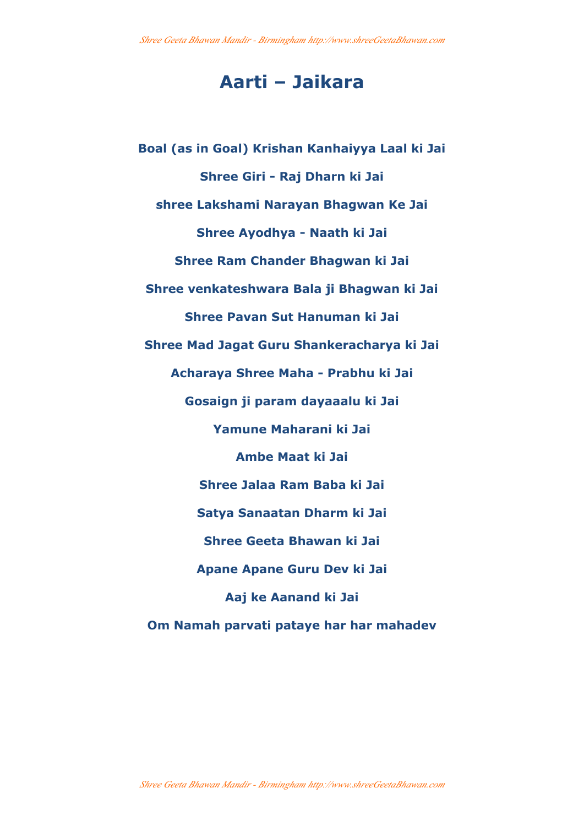## **Aarti – Jaikara**

**Boal (as in Goal) Krishan Kanhaiyya Laal ki Jai Shree Giri - Raj Dharn ki Jai shree Lakshami Narayan Bhagwan Ke Jai Shree Ayodhya - Naath ki Jai Shree Ram Chander Bhagwan ki Jai Shree venkateshwara Bala ji Bhagwan ki Jai Shree Pavan Sut Hanuman ki Jai Shree Mad Jagat Guru Shankeracharya ki Jai Acharaya Shree Maha - Prabhu ki Jai Gosaign ji param dayaaalu ki Jai Yamune Maharani ki Jai Ambe Maat ki Jai Shree Jalaa Ram Baba ki Jai Satya Sanaatan Dharm ki Jai Shree Geeta Bhawan ki Jai Apane Apane Guru Dev ki Jai Aaj ke Aanand ki Jai Om Namah parvati pataye har har mahadev**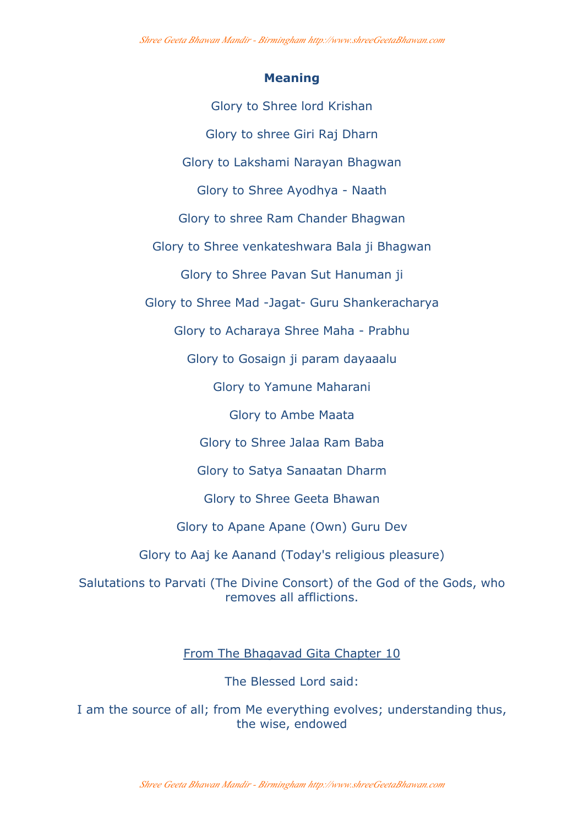## **Meaning**

Glory to Shree lord Krishan Glory to shree Giri Raj Dharn Glory to Lakshami Narayan Bhagwan Glory to Shree Ayodhya - Naath Glory to shree Ram Chander Bhagwan Glory to Shree venkateshwara Bala ji Bhagwan Glory to Shree Pavan Sut Hanuman ji Glory to Shree Mad -Jagat- Guru Shankeracharya Glory to Acharaya Shree Maha - Prabhu Glory to Gosaign ji param dayaaalu Glory to Yamune Maharani Glory to Ambe Maata Glory to Shree Jalaa Ram Baba Glory to Satya Sanaatan Dharm Glory to Shree Geeta Bhawan

Glory to Apane Apane (Own) Guru Dev

Glory to Aaj ke Aanand (Today's religious pleasure)

Salutations to Parvati (The Divine Consort) of the God of the Gods, who removes all afflictions.

From The Bhagavad Gita Chapter 10

The Blessed Lord said:

I am the source of all; from Me everything evolves; understanding thus, the wise, endowed